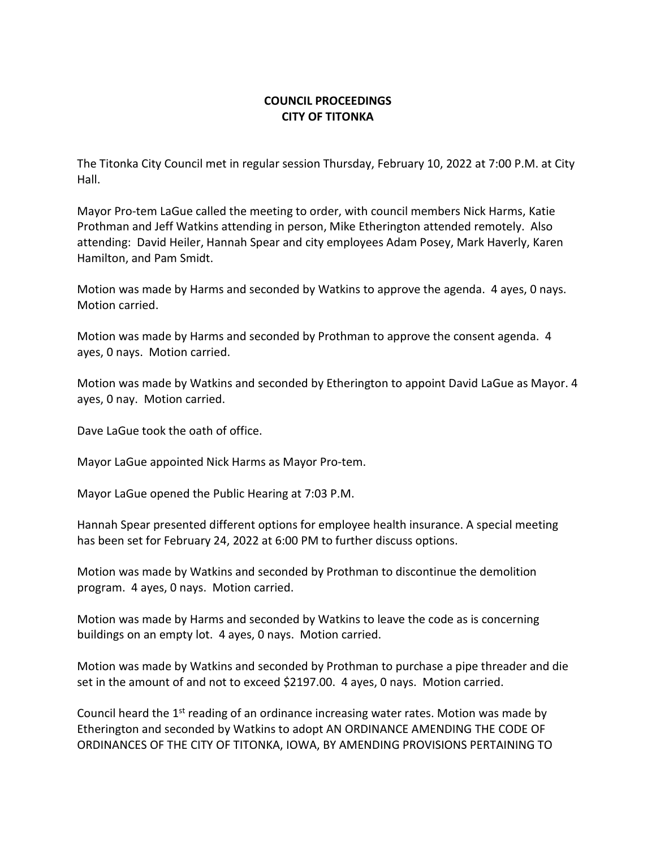## **COUNCIL PROCEEDINGS CITY OF TITONKA**

The Titonka City Council met in regular session Thursday, February 10, 2022 at 7:00 P.M. at City Hall.

Mayor Pro-tem LaGue called the meeting to order, with council members Nick Harms, Katie Prothman and Jeff Watkins attending in person, Mike Etherington attended remotely. Also attending: David Heiler, Hannah Spear and city employees Adam Posey, Mark Haverly, Karen Hamilton, and Pam Smidt.

Motion was made by Harms and seconded by Watkins to approve the agenda. 4 ayes, 0 nays. Motion carried.

Motion was made by Harms and seconded by Prothman to approve the consent agenda. 4 ayes, 0 nays. Motion carried.

Motion was made by Watkins and seconded by Etherington to appoint David LaGue as Mayor. 4 ayes, 0 nay. Motion carried.

Dave LaGue took the oath of office.

Mayor LaGue appointed Nick Harms as Mayor Pro-tem.

Mayor LaGue opened the Public Hearing at 7:03 P.M.

Hannah Spear presented different options for employee health insurance. A special meeting has been set for February 24, 2022 at 6:00 PM to further discuss options.

Motion was made by Watkins and seconded by Prothman to discontinue the demolition program. 4 ayes, 0 nays. Motion carried.

Motion was made by Harms and seconded by Watkins to leave the code as is concerning buildings on an empty lot. 4 ayes, 0 nays. Motion carried.

Motion was made by Watkins and seconded by Prothman to purchase a pipe threader and die set in the amount of and not to exceed \$2197.00. 4 ayes, 0 nays. Motion carried.

Council heard the  $1<sup>st</sup>$  reading of an ordinance increasing water rates. Motion was made by Etherington and seconded by Watkins to adopt AN ORDINANCE AMENDING THE CODE OF ORDINANCES OF THE CITY OF TITONKA, IOWA, BY AMENDING PROVISIONS PERTAINING TO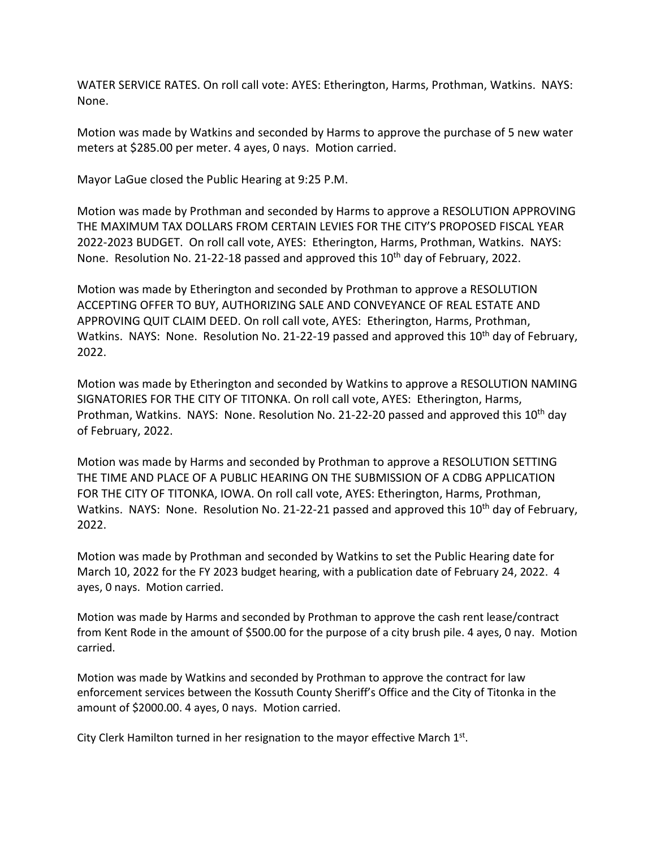WATER SERVICE RATES. On roll call vote: AYES: Etherington, Harms, Prothman, Watkins. NAYS: None.

Motion was made by Watkins and seconded by Harms to approve the purchase of 5 new water meters at \$285.00 per meter. 4 ayes, 0 nays. Motion carried.

Mayor LaGue closed the Public Hearing at 9:25 P.M.

Motion was made by Prothman and seconded by Harms to approve a RESOLUTION APPROVING THE MAXIMUM TAX DOLLARS FROM CERTAIN LEVIES FOR THE CITY'S PROPOSED FISCAL YEAR 2022-2023 BUDGET. On roll call vote, AYES: Etherington, Harms, Prothman, Watkins. NAYS: None. Resolution No. 21-22-18 passed and approved this 10<sup>th</sup> day of February, 2022.

Motion was made by Etherington and seconded by Prothman to approve a RESOLUTION ACCEPTING OFFER TO BUY, AUTHORIZING SALE AND CONVEYANCE OF REAL ESTATE AND APPROVING QUIT CLAIM DEED. On roll call vote, AYES: Etherington, Harms, Prothman, Watkins. NAYS: None. Resolution No. 21-22-19 passed and approved this 10<sup>th</sup> day of February, 2022.

Motion was made by Etherington and seconded by Watkins to approve a RESOLUTION NAMING SIGNATORIES FOR THE CITY OF TITONKA. On roll call vote, AYES: Etherington, Harms, Prothman, Watkins. NAYS: None. Resolution No. 21-22-20 passed and approved this 10<sup>th</sup> day of February, 2022.

Motion was made by Harms and seconded by Prothman to approve a RESOLUTION SETTING THE TIME AND PLACE OF A PUBLIC HEARING ON THE SUBMISSION OF A CDBG APPLICATION FOR THE CITY OF TITONKA, IOWA. On roll call vote, AYES: Etherington, Harms, Prothman, Watkins. NAYS: None. Resolution No. 21-22-21 passed and approved this 10<sup>th</sup> day of February, 2022.

Motion was made by Prothman and seconded by Watkins to set the Public Hearing date for March 10, 2022 for the FY 2023 budget hearing, with a publication date of February 24, 2022. 4 ayes, 0 nays. Motion carried.

Motion was made by Harms and seconded by Prothman to approve the cash rent lease/contract from Kent Rode in the amount of \$500.00 for the purpose of a city brush pile. 4 ayes, 0 nay. Motion carried.

Motion was made by Watkins and seconded by Prothman to approve the contract for law enforcement services between the Kossuth County Sheriff's Office and the City of Titonka in the amount of \$2000.00. 4 ayes, 0 nays. Motion carried.

City Clerk Hamilton turned in her resignation to the mayor effective March  $1<sup>st</sup>$ .